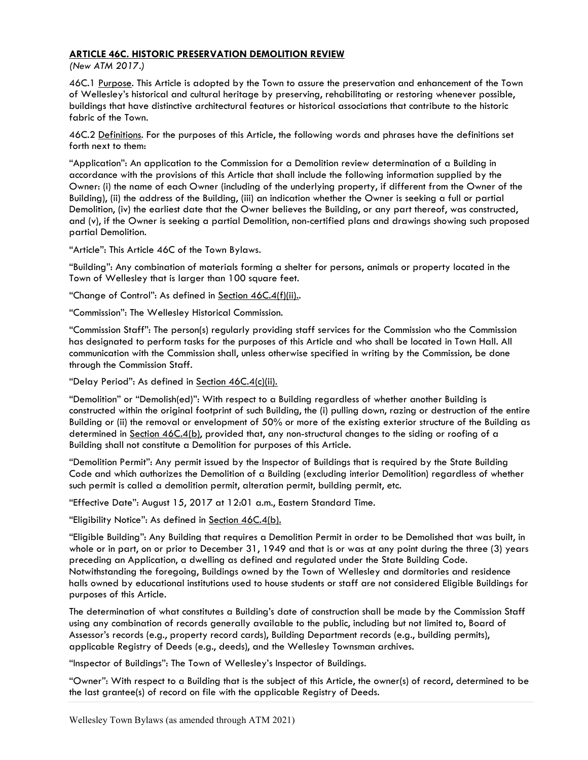# ARTICLE 46C. HISTORIC PRESERVATION DEMOLITION REVIEW

(New ATM 2017.)

46C.1 Purpose. This Article is adopted by the Town to assure the preservation and enhancement of the Town of Wellesley's historical and cultural heritage by preserving, rehabilitating or restoring whenever possible, buildings that have distinctive architectural features or historical associations that contribute to the historic fabric of the Town.

46C.2 Definitions. For the purposes of this Article, the following words and phrases have the definitions set forth next to them:

"Application": An application to the Commission for a Demolition review determination of a Building in accordance with the provisions of this Article that shall include the following information supplied by the Owner: (i) the name of each Owner (including of the underlying property, if different from the Owner of the Building), (ii) the address of the Building, (iii) an indication whether the Owner is seeking a full or partial Demolition, (iv) the earliest date that the Owner believes the Building, or any part thereof, was constructed, and (v), if the Owner is seeking a partial Demolition, non-certified plans and drawings showing such proposed partial Demolition.

"Article": This Article 46C of the Town Bylaws.

"Building": Any combination of materials forming a shelter for persons, animals or property located in the Town of Wellesley that is larger than 100 square feet.

"Change of Control": As defined in Section 46C.4(f)(ii)..

"Commission": The Wellesley Historical Commission.

"Commission Staff": The person(s) regularly providing staff services for the Commission who the Commission has designated to perform tasks for the purposes of this Article and who shall be located in Town Hall. All communication with the Commission shall, unless otherwise specified in writing by the Commission, be done through the Commission Staff.

"Delay Period": As defined in Section 46C.4(c)(ii).

"Demolition" or "Demolish(ed)": With respect to a Building regardless of whether another Building is constructed within the original footprint of such Building, the (i) pulling down, razing or destruction of the entire Building or (ii) the removal or envelopment of 50% or more of the existing exterior structure of the Building as determined in Section 46C.4(b), provided that, any non-structural changes to the siding or roofing of a Building shall not constitute a Demolition for purposes of this Article.

"Demolition Permit": Any permit issued by the Inspector of Buildings that is required by the State Building Code and which authorizes the Demolition of a Building (excluding interior Demolition) regardless of whether such permit is called a demolition permit, alteration permit, building permit, etc.

"Effective Date": August 15, 2017 at 12:01 a.m., Eastern Standard Time.

"Eligibility Notice": As defined in Section 46C.4(b).

"Eligible Building": Any Building that requires a Demolition Permit in order to be Demolished that was built, in whole or in part, on or prior to December 31, 1949 and that is or was at any point during the three (3) years preceding an Application, a dwelling as defined and regulated under the State Building Code. Notwithstanding the foregoing, Buildings owned by the Town of Wellesley and dormitories and residence halls owned by educational institutions used to house students or staff are not considered Eligible Buildings for purposes of this Article.

The determination of what constitutes a Building's date of construction shall be made by the Commission Staff using any combination of records generally available to the public, including but not limited to, Board of Assessor's records (e.g., property record cards), Building Department records (e.g., building permits), applicable Registry of Deeds (e.g., deeds), and the Wellesley Townsman archives.

"Inspector of Buildings": The Town of Wellesley's Inspector of Buildings.

"Owner": With respect to a Building that is the subject of this Article, the owner(s) of record, determined to be the last grantee(s) of record on file with the applicable Registry of Deeds.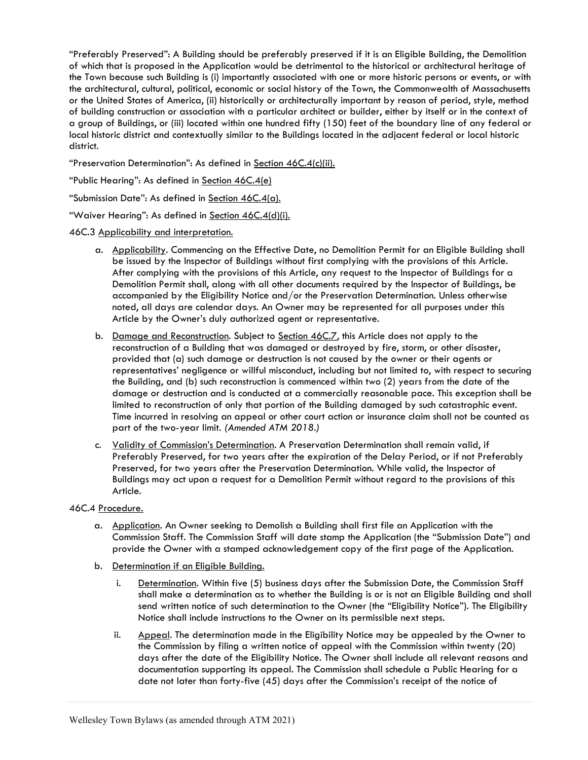"Preferably Preserved": A Building should be preferably preserved if it is an Eligible Building, the Demolition of which that is proposed in the Application would be detrimental to the historical or architectural heritage of the Town because such Building is (i) importantly associated with one or more historic persons or events, or with the architectural, cultural, political, economic or social history of the Town, the Commonwealth of Massachusetts or the United States of America, (ii) historically or architecturally important by reason of period, style, method of building construction or association with a particular architect or builder, either by itself or in the context of a group of Buildings, or (iii) located within one hundred fifty (150) feet of the boundary line of any federal or local historic district and contextually similar to the Buildings located in the adjacent federal or local historic district.

"Preservation Determination": As defined in Section 46C.4(c)(ii).

"Public Hearing": As defined in Section 46C.4(e)

"Submission Date": As defined in Section 46C.4(a).

"Waiver Hearing": As defined in Section 46C.4(d)(i).

46C.3 Applicability and interpretation.

- a. Applicability. Commencing on the Effective Date, no Demolition Permit for an Eligible Building shall be issued by the Inspector of Buildings without first complying with the provisions of this Article. After complying with the provisions of this Article, any request to the Inspector of Buildings for a Demolition Permit shall, along with all other documents required by the Inspector of Buildings, be accompanied by the Eligibility Notice and/or the Preservation Determination. Unless otherwise noted, all days are calendar days. An Owner may be represented for all purposes under this Article by the Owner's duly authorized agent or representative.
- b. Damage and Reconstruction. Subject to Section 46C.7, this Article does not apply to the reconstruction of a Building that was damaged or destroyed by fire, storm, or other disaster, provided that (a) such damage or destruction is not caused by the owner or their agents or representatives' negligence or willful misconduct, including but not limited to, with respect to securing the Building, and (b) such reconstruction is commenced within two (2) years from the date of the damage or destruction and is conducted at a commercially reasonable pace. This exception shall be limited to reconstruction of only that portion of the Building damaged by such catastrophic event. Time incurred in resolving an appeal or other court action or insurance claim shall not be counted as part of the two-year limit. (Amended ATM 2018.)
- c. Validity of Commission's Determination. A Preservation Determination shall remain valid, if Preferably Preserved, for two years after the expiration of the Delay Period, or if not Preferably Preserved, for two years after the Preservation Determination. While valid, the Inspector of Buildings may act upon a request for a Demolition Permit without regard to the provisions of this Article.

### 46C.4 Procedure.

- a. Application. An Owner seeking to Demolish a Building shall first file an Application with the Commission Staff. The Commission Staff will date stamp the Application (the "Submission Date") and provide the Owner with a stamped acknowledgement copy of the first page of the Application.
- b. Determination if an Eligible Building.
	- i. Determination. Within five (5) business days after the Submission Date, the Commission Staff shall make a determination as to whether the Building is or is not an Eligible Building and shall send written notice of such determination to the Owner (the "Eligibility Notice"). The Eligibility Notice shall include instructions to the Owner on its permissible next steps.
	- ii. Appeal. The determination made in the Eligibility Notice may be appealed by the Owner to the Commission by filing a written notice of appeal with the Commission within twenty (20) days after the date of the Eligibility Notice. The Owner shall include all relevant reasons and documentation supporting its appeal. The Commission shall schedule a Public Hearing for a date not later than forty-five (45) days after the Commission's receipt of the notice of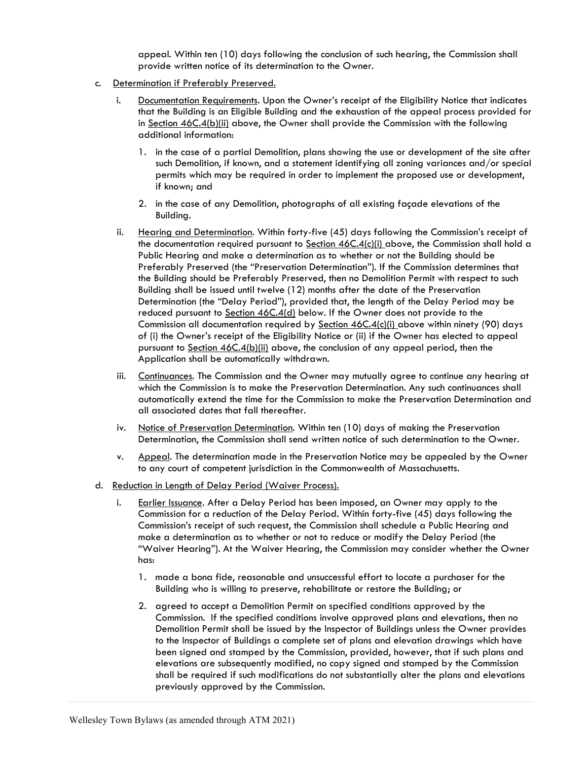appeal. Within ten (10) days following the conclusion of such hearing, the Commission shall provide written notice of its determination to the Owner.

- c. Determination if Preferably Preserved.
	- i. Documentation Requirements. Upon the Owner's receipt of the Eligibility Notice that indicates that the Building is an Eligible Building and the exhaustion of the appeal process provided for in Section 46C.4(b)(ii) above, the Owner shall provide the Commission with the following additional information:
		- 1. in the case of a partial Demolition, plans showing the use or development of the site after such Demolition, if known, and a statement identifying all zoning variances and/or special permits which may be required in order to implement the proposed use or development, if known; and
		- 2. in the case of any Demolition, photographs of all existing façade elevations of the Building.
	- ii. Hearing and Determination. Within forty-five (45) days following the Commission's receipt of the documentation required pursuant to Section 46C.4(c)(i) above, the Commission shall hold a Public Hearing and make a determination as to whether or not the Building should be Preferably Preserved (the "Preservation Determination"). If the Commission determines that the Building should be Preferably Preserved, then no Demolition Permit with respect to such Building shall be issued until twelve (12) months after the date of the Preservation Determination (the "Delay Period"), provided that, the length of the Delay Period may be reduced pursuant to Section 46C.4(d) below. If the Owner does not provide to the Commission all documentation required by Section 46C.4(c)(i) above within ninety (90) days of (i) the Owner's receipt of the Eligibility Notice or (ii) if the Owner has elected to appeal pursuant to Section 46C.4(b)(ii) above, the conclusion of any appeal period, then the Application shall be automatically withdrawn.
	- iii. Continuances. The Commission and the Owner may mutually agree to continue any hearing at which the Commission is to make the Preservation Determination. Any such continuances shall automatically extend the time for the Commission to make the Preservation Determination and all associated dates that fall thereafter.
	- iv. Notice of Preservation Determination. Within ten (10) days of making the Preservation Determination, the Commission shall send written notice of such determination to the Owner.
	- v. Appeal. The determination made in the Preservation Notice may be appealed by the Owner to any court of competent jurisdiction in the Commonwealth of Massachusetts.
- d. Reduction in Length of Delay Period (Waiver Process).
	- i. Earlier Issuance. After a Delay Period has been imposed, an Owner may apply to the Commission for a reduction of the Delay Period. Within forty-five (45) days following the Commission's receipt of such request, the Commission shall schedule a Public Hearing and make a determination as to whether or not to reduce or modify the Delay Period (the "Waiver Hearing"). At the Waiver Hearing, the Commission may consider whether the Owner has:
		- 1. made a bona fide, reasonable and unsuccessful effort to locate a purchaser for the Building who is willing to preserve, rehabilitate or restore the Building; or
		- 2. agreed to accept a Demolition Permit on specified conditions approved by the Commission. If the specified conditions involve approved plans and elevations, then no Demolition Permit shall be issued by the Inspector of Buildings unless the Owner provides to the Inspector of Buildings a complete set of plans and elevation drawings which have been signed and stamped by the Commission, provided, however, that if such plans and elevations are subsequently modified, no copy signed and stamped by the Commission shall be required if such modifications do not substantially alter the plans and elevations previously approved by the Commission.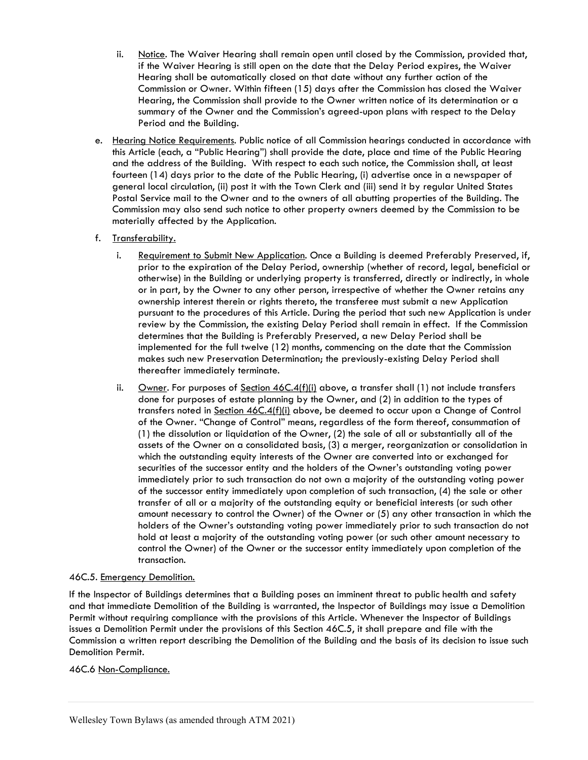- ii. Notice. The Waiver Hearing shall remain open until closed by the Commission, provided that, if the Waiver Hearing is still open on the date that the Delay Period expires, the Waiver Hearing shall be automatically closed on that date without any further action of the Commission or Owner. Within fifteen (15) days after the Commission has closed the Waiver Hearing, the Commission shall provide to the Owner written notice of its determination or a summary of the Owner and the Commission's agreed-upon plans with respect to the Delay Period and the Building.
- e. Hearing Notice Requirements. Public notice of all Commission hearings conducted in accordance with this Article (each, a "Public Hearing") shall provide the date, place and time of the Public Hearing and the address of the Building. With respect to each such notice, the Commission shall, at least fourteen (14) days prior to the date of the Public Hearing, (i) advertise once in a newspaper of general local circulation, (ii) post it with the Town Clerk and (iii) send it by regular United States Postal Service mail to the Owner and to the owners of all abutting properties of the Building. The Commission may also send such notice to other property owners deemed by the Commission to be materially affected by the Application.

## f. Transferability.

- i. Requirement to Submit New Application. Once a Building is deemed Preferably Preserved, if, prior to the expiration of the Delay Period, ownership (whether of record, legal, beneficial or otherwise) in the Building or underlying property is transferred, directly or indirectly, in whole or in part, by the Owner to any other person, irrespective of whether the Owner retains any ownership interest therein or rights thereto, the transferee must submit a new Application pursuant to the procedures of this Article. During the period that such new Application is under review by the Commission, the existing Delay Period shall remain in effect. If the Commission determines that the Building is Preferably Preserved, a new Delay Period shall be implemented for the full twelve (12) months, commencing on the date that the Commission makes such new Preservation Determination; the previously-existing Delay Period shall thereafter immediately terminate.
- ii. Owner. For purposes of Section  $46C.4(f)(i)$  above, a transfer shall (1) not include transfers done for purposes of estate planning by the Owner, and (2) in addition to the types of transfers noted in Section 46C.4(f)(i) above, be deemed to occur upon a Change of Control of the Owner. "Change of Control" means, regardless of the form thereof, consummation of (1) the dissolution or liquidation of the Owner, (2) the sale of all or substantially all of the assets of the Owner on a consolidated basis, (3) a merger, reorganization or consolidation in which the outstanding equity interests of the Owner are converted into or exchanged for securities of the successor entity and the holders of the Owner's outstanding voting power immediately prior to such transaction do not own a majority of the outstanding voting power of the successor entity immediately upon completion of such transaction, (4) the sale or other transfer of all or a majority of the outstanding equity or beneficial interests (or such other amount necessary to control the Owner) of the Owner or (5) any other transaction in which the holders of the Owner's outstanding voting power immediately prior to such transaction do not hold at least a majority of the outstanding voting power (or such other amount necessary to control the Owner) of the Owner or the successor entity immediately upon completion of the transaction.

### 46C.5. Emergency Demolition.

If the Inspector of Buildings determines that a Building poses an imminent threat to public health and safety and that immediate Demolition of the Building is warranted, the Inspector of Buildings may issue a Demolition Permit without requiring compliance with the provisions of this Article. Whenever the Inspector of Buildings issues a Demolition Permit under the provisions of this Section 46C.5, it shall prepare and file with the Commission a written report describing the Demolition of the Building and the basis of its decision to issue such Demolition Permit.

### 46C.6 Non-Compliance.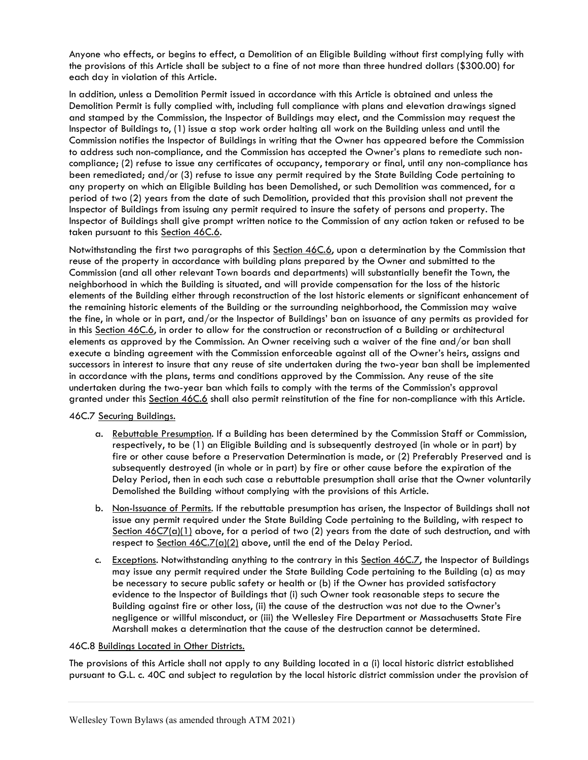Anyone who effects, or begins to effect, a Demolition of an Eligible Building without first complying fully with the provisions of this Article shall be subject to a fine of not more than three hundred dollars (\$300.00) for each day in violation of this Article.

In addition, unless a Demolition Permit issued in accordance with this Article is obtained and unless the Demolition Permit is fully complied with, including full compliance with plans and elevation drawings signed and stamped by the Commission, the Inspector of Buildings may elect, and the Commission may request the Inspector of Buildings to, (1) issue a stop work order halting all work on the Building unless and until the Commission notifies the Inspector of Buildings in writing that the Owner has appeared before the Commission to address such non-compliance, and the Commission has accepted the Owner's plans to remediate such noncompliance; (2) refuse to issue any certificates of occupancy, temporary or final, until any non-compliance has been remediated; and/or (3) refuse to issue any permit required by the State Building Code pertaining to any property on which an Eligible Building has been Demolished, or such Demolition was commenced, for a period of two (2) years from the date of such Demolition, provided that this provision shall not prevent the Inspector of Buildings from issuing any permit required to insure the safety of persons and property. The Inspector of Buildings shall give prompt written notice to the Commission of any action taken or refused to be taken pursuant to this Section 46C.6.

Notwithstanding the first two paragraphs of this Section 46C.6, upon a determination by the Commission that reuse of the property in accordance with building plans prepared by the Owner and submitted to the Commission (and all other relevant Town boards and departments) will substantially benefit the Town, the neighborhood in which the Building is situated, and will provide compensation for the loss of the historic elements of the Building either through reconstruction of the lost historic elements or significant enhancement of the remaining historic elements of the Building or the surrounding neighborhood, the Commission may waive the fine, in whole or in part, and/or the Inspector of Buildings' ban on issuance of any permits as provided for in this Section 46C.6, in order to allow for the construction or reconstruction of a Building or architectural elements as approved by the Commission. An Owner receiving such a waiver of the fine and/or ban shall execute a binding agreement with the Commission enforceable against all of the Owner's heirs, assigns and successors in interest to insure that any reuse of site undertaken during the two-year ban shall be implemented in accordance with the plans, terms and conditions approved by the Commission. Any reuse of the site undertaken during the two-year ban which fails to comply with the terms of the Commission's approval granted under this Section 46C.6 shall also permit reinstitution of the fine for non-compliance with this Article.

### 46C.7 Securing Buildings.

- a. Rebuttable Presumption. If a Building has been determined by the Commission Staff or Commission, respectively, to be (1) an Eligible Building and is subsequently destroyed (in whole or in part) by fire or other cause before a Preservation Determination is made, or (2) Preferably Preserved and is subsequently destroyed (in whole or in part) by fire or other cause before the expiration of the Delay Period, then in each such case a rebuttable presumption shall arise that the Owner voluntarily Demolished the Building without complying with the provisions of this Article.
- b. Non-Issuance of Permits. If the rebuttable presumption has arisen, the Inspector of Buildings shall not issue any permit required under the State Building Code pertaining to the Building, with respect to Section  $46C7(a)(1)$  above, for a period of two (2) years from the date of such destruction, and with respect to Section 46C.7(a)(2) above, until the end of the Delay Period.
- c. Exceptions. Notwithstanding anything to the contrary in this Section 46C.7, the Inspector of Buildings may issue any permit required under the State Building Code pertaining to the Building (a) as may be necessary to secure public safety or health or (b) if the Owner has provided satisfactory evidence to the Inspector of Buildings that (i) such Owner took reasonable steps to secure the Building against fire or other loss, (ii) the cause of the destruction was not due to the Owner's negligence or willful misconduct, or (iii) the Wellesley Fire Department or Massachusetts State Fire Marshall makes a determination that the cause of the destruction cannot be determined.

### 46C.8 Buildings Located in Other Districts.

The provisions of this Article shall not apply to any Building located in a (i) local historic district established pursuant to G.L. c. 40C and subject to regulation by the local historic district commission under the provision of